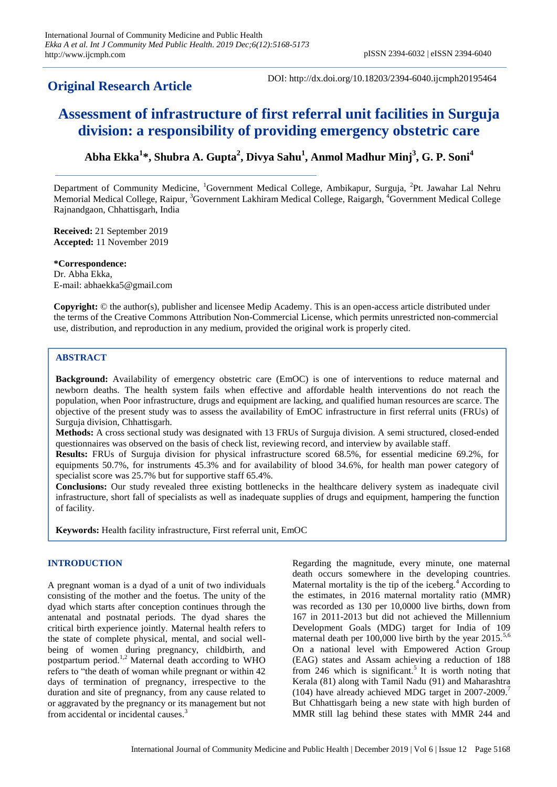# **Original Research Article**

DOI: http://dx.doi.org/10.18203/2394-6040.ijcmph20195464

# **Assessment of infrastructure of first referral unit facilities in Surguja division: a responsibility of providing emergency obstetric care**

**Abha Ekka<sup>1</sup> \*, Shubra A. Gupta<sup>2</sup> , Divya Sahu<sup>1</sup> , Anmol Madhur Minj<sup>3</sup> , G. P. Soni<sup>4</sup>**

Department of Community Medicine, <sup>1</sup>Government Medical College, Ambikapur, Surguja, <sup>2</sup>Pt. Jawahar Lal Nehru Memorial Medical College, Raipur, <sup>3</sup>Government Lakhiram Medical College, Raigargh, <sup>4</sup>Government Medical College Rajnandgaon, Chhattisgarh, India

**Received:** 21 September 2019 **Accepted:** 11 November 2019

**\*Correspondence:** Dr. Abha Ekka, E-mail: abhaekka5@gmail.com

**Copyright:** © the author(s), publisher and licensee Medip Academy. This is an open-access article distributed under the terms of the Creative Commons Attribution Non-Commercial License, which permits unrestricted non-commercial use, distribution, and reproduction in any medium, provided the original work is properly cited.

## **ABSTRACT**

**Background:** Availability of emergency obstetric care (EmOC) is one of interventions to reduce maternal and newborn deaths. The health system fails when effective and affordable health interventions do not reach the population, when Poor infrastructure, drugs and equipment are lacking, and qualified human resources are scarce. The objective of the present study was to assess the availability of EmOC infrastructure in first referral units (FRUs) of Surguja division, Chhattisgarh.

**Methods:** A cross sectional study was designated with 13 FRUs of Surguja division. A semi structured, closed-ended questionnaires was observed on the basis of check list, reviewing record, and interview by available staff.

**Results:** FRUs of Surguja division for physical infrastructure scored 68.5%, for essential medicine 69.2%, for equipments 50.7%, for instruments 45.3% and for availability of blood 34.6%, for health man power category of specialist score was 25.7% but for supportive staff 65.4%.

**Conclusions:** Our study revealed three existing bottlenecks in the healthcare delivery system as inadequate civil infrastructure, short fall of specialists as well as inadequate supplies of drugs and equipment, hampering the function of facility.

**Keywords:** Health facility infrastructure, First referral unit, EmOC

# **INTRODUCTION**

A pregnant woman is a dyad of a unit of two individuals consisting of the mother and the foetus. The unity of the dyad which starts after conception continues through the antenatal and postnatal periods. The dyad shares the critical birth experience jointly. Maternal health refers to the state of complete physical, mental, and social wellbeing of women during pregnancy, childbirth, and postpartum period.1,2 Maternal death according to WHO refers to "the death of woman while pregnant or within 42 days of termination of pregnancy, irrespective to the duration and site of pregnancy, from any cause related to or aggravated by the pregnancy or its management but not from accidental or incidental causes.<sup>3</sup>

Regarding the magnitude, every minute, one maternal death occurs somewhere in the developing countries. Maternal mortality is the tip of the iceberg.<sup>4</sup> According to the estimates, in 2016 maternal mortality ratio (MMR) was recorded as 130 per 10,0000 live births, down from 167 in 2011-2013 but did not achieved the Millennium Development Goals (MDG) target for India of 109 maternal death per  $100,000$  live birth by the year  $2015$ .<sup>5,6</sup> On a national level with Empowered Action Group (EAG) states and Assam achieving a reduction of 188 from 246 which is significant.<sup>5</sup> It is worth noting that Kerala (81) along with Tamil Nadu (91) and Maharashtra (104) have already achieved MDG target in 2007-2009.<sup>7</sup> But Chhattisgarh being a new state with high burden of MMR still lag behind these states with MMR 244 and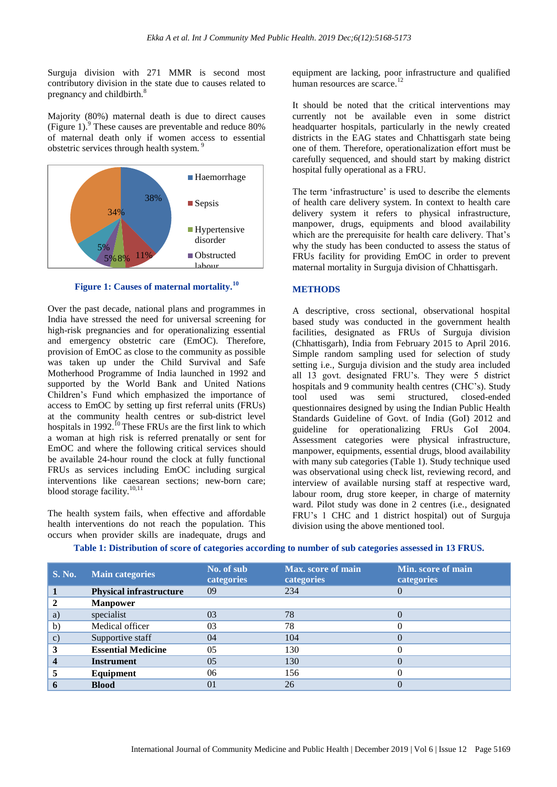Surguja division with 271 MMR is second most contributory division in the state due to causes related to pregnancy and childbirth.<sup>8</sup>

Majority (80%) maternal death is due to direct causes (Figure 1). $\degree$  These causes are preventable and reduce 80% of maternal death only if women access to essential obstetric services through health system. <sup>9</sup>



**Figure 1: Causes of maternal mortality.<sup>10</sup>**

Over the past decade, national plans and programmes in India have stressed the need for universal screening for high-risk pregnancies and for operationalizing essential and emergency obstetric care (EmOC). Therefore, provision of EmOC as close to the community as possible was taken up under the Child Survival and Safe Motherhood Programme of India launched in 1992 and supported by the World Bank and United Nations Children's Fund which emphasized the importance of access to EmOC by setting up first referral units (FRUs) at the community health centres or sub-district level hospitals in 1992.<sup>10</sup> These FRUs are the first link to which a woman at high risk is referred prenatally or sent for EmOC and where the following critical services should be available 24-hour round the clock at fully functional FRUs as services including EmOC including surgical interventions like caesarean sections; new-born care; blood storage facility.<sup>10,11</sup>

The health system fails, when effective and affordable health interventions do not reach the population. This occurs when provider skills are inadequate, drugs and

equipment are lacking, poor infrastructure and qualified human resources are scarce.<sup>12</sup>

It should be noted that the critical interventions may currently not be available even in some district headquarter hospitals, particularly in the newly created districts in the EAG states and Chhattisgarh state being one of them. Therefore, operationalization effort must be carefully sequenced, and should start by making district hospital fully operational as a FRU.

The term 'infrastructure' is used to describe the elements of health care delivery system. In context to health care delivery system it refers to physical infrastructure, manpower, drugs, equipments and blood availability which are the prerequisite for health care delivery. That's why the study has been conducted to assess the status of FRUs facility for providing EmOC in order to prevent maternal mortality in Surguja division of Chhattisgarh.

#### **METHODS**

A descriptive, cross sectional, observational hospital based study was conducted in the government health facilities, designated as FRUs of Surguja division (Chhattisgarh), India from February 2015 to April 2016. Simple random sampling used for selection of study setting i.e., Surguja division and the study area included all 13 govt. designated FRU's. They were 5 district hospitals and 9 community health centres (CHC's). Study tool used was semi structured, closed-ended questionnaires designed by using the Indian Public Health Standards Guideline of Govt. of India (GoI) 2012 and guideline for operationalizing FRUs GoI 2004. Assessment categories were physical infrastructure, manpower, equipments, essential drugs, blood availability with many sub categories (Table 1). Study technique used was observational using check list, reviewing record, and interview of available nursing staff at respective ward, labour room, drug store keeper, in charge of maternity ward. Pilot study was done in 2 centres (i.e., designated FRU's 1 CHC and 1 district hospital) out of Surguja division using the above mentioned tool.

| <b>S. No.</b> | <b>Main categories</b>         | No. of sub<br>categories | <b>Max.</b> score of main<br>categories | Min. score of main<br>categories |
|---------------|--------------------------------|--------------------------|-----------------------------------------|----------------------------------|
|               | <b>Physical infrastructure</b> | 09                       | 234                                     |                                  |
|               | <b>Manpower</b>                |                          |                                         |                                  |
| a)            | specialist                     | 03                       | 78                                      |                                  |
| $\mathbf{b}$  | Medical officer                | 03                       | 78                                      |                                  |
| $\mathbf{c})$ | Supportive staff               | 04                       | 104                                     |                                  |
|               | <b>Essential Medicine</b>      | 05                       | 130                                     |                                  |
|               | <b>Instrument</b>              | 05                       | 130                                     |                                  |
|               | Equipment                      | 06                       | 156                                     |                                  |
|               | <b>Blood</b>                   | 01                       | 26                                      |                                  |

**Table 1: Distribution of score of categories according to number of sub categories assessed in 13 FRUS.**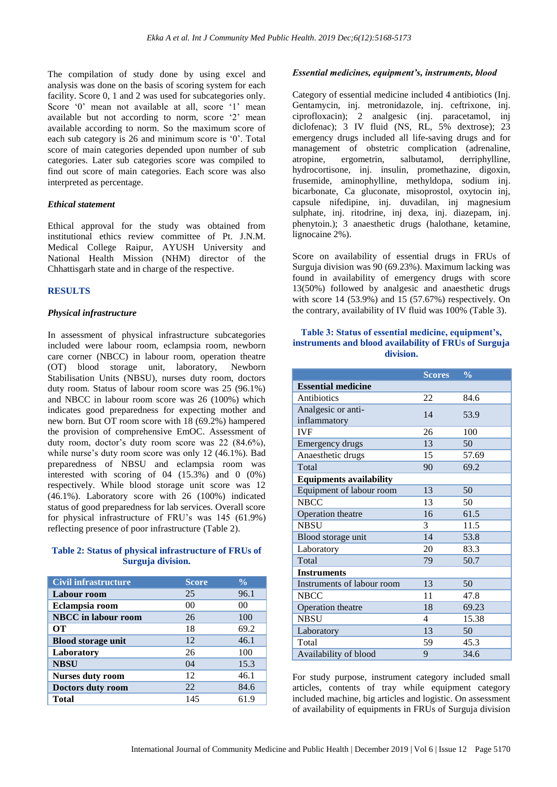The compilation of study done by using excel and analysis was done on the basis of scoring system for each facility. Score 0, 1 and 2 was used for subcategories only. Score '0' mean not available at all, score '1' mean available but not according to norm, score '2' mean available according to norm. So the maximum score of each sub category is 26 and minimum score is '0'. Total score of main categories depended upon number of sub categories. Later sub categories score was compiled to find out score of main categories. Each score was also interpreted as percentage.

#### *Ethical statement*

Ethical approval for the study was obtained from institutional ethics review committee of Pt. J.N.M. Medical College Raipur, AYUSH University and National Health Mission (NHM) director of the Chhattisgarh state and in charge of the respective.

#### **RESULTS**

#### *Physical infrastructure*

In assessment of physical infrastructure subcategories included were labour room, eclampsia room, newborn care corner (NBCC) in labour room, operation theatre (OT) blood storage unit, laboratory, Newborn Stabilisation Units (NBSU), nurses duty room, doctors duty room. Status of labour room score was 25 (96.1%) and NBCC in labour room score was 26 (100%) which indicates good preparedness for expecting mother and new born. But OT room score with 18 (69.2%) hampered the provision of comprehensive EmOC. Assessment of duty room, doctor's duty room score was 22 (84.6%), while nurse's duty room score was only 12 (46.1%). Bad preparedness of NBSU and eclampsia room was interested with scoring of 04 (15.3%) and 0 (0%) respectively. While blood storage unit score was 12 (46.1%). Laboratory score with 26 (100%) indicated status of good preparedness for lab services. Overall score for physical infrastructure of FRU's was 145 (61.9%) reflecting presence of poor infrastructure (Table 2).

#### **Table 2: Status of physical infrastructure of FRUs of Surguja division.**

| <b>Civil infrastructure</b> | <b>Score</b>   | $\frac{0}{0}$ |
|-----------------------------|----------------|---------------|
| Labour room                 | 25             | 96.1          |
| Eclampsia room              | 0 <sup>0</sup> | 00            |
| <b>NBCC</b> in labour room  | 26             | 100           |
| OТ                          | 18             | 69.2          |
| <b>Blood storage unit</b>   | 12             | 46.1          |
| Laboratory                  | 26             | 100           |
| <b>NBSU</b>                 | 04             | 15.3          |
| <b>Nurses duty room</b>     | 12             | 46.1          |
| Doctors duty room           | 22             | 84.6          |
| <b>Total</b>                | 145            | 61.9          |

#### *Essential medicines, equipment's, instruments, blood*

Category of essential medicine included 4 antibiotics (Inj. Gentamycin, inj. metronidazole, inj. ceftrixone, inj. ciprofloxacin); 2 analgesic (inj. paracetamol, inj diclofenac); 3 IV fluid (NS, RL, 5% dextrose); 23 emergency drugs included all life-saving drugs and for management of obstetric complication (adrenaline, atropine, ergometrin, salbutamol, derriphylline, hydrocortisone, inj. insulin, promethazine, digoxin, frusemide, aminophylline, methyldopa, sodium inj. bicarbonate, Ca gluconate, misoprostol, oxytocin inj, capsule nifedipine, inj. duvadilan, inj magnesium sulphate, inj. ritodrine, inj dexa, inj. diazepam, inj. phenytoin.); 3 anaesthetic drugs (halothane, ketamine, lignocaine 2%).

Score on availability of essential drugs in FRUs of Surguja division was 90 (69.23%). Maximum lacking was found in availability of emergency drugs with score 13(50%) followed by analgesic and anaesthetic drugs with score 14 (53.9%) and 15 (57.67%) respectively. On the contrary, availability of IV fluid was 100% (Table 3).

#### **Table 3: Status of essential medicine, equipment's, instruments and blood availability of FRUs of Surguja division.**

|                                    | <b>Scores</b> | $\frac{0}{0}$ |  |  |  |
|------------------------------------|---------------|---------------|--|--|--|
| <b>Essential medicine</b>          |               |               |  |  |  |
| Antibiotics                        | 22            | 84.6          |  |  |  |
| Analgesic or anti-<br>inflammatory | 14            | 53.9          |  |  |  |
| <b>IVF</b>                         | 26            | 100           |  |  |  |
| Emergency drugs                    | 13            | 50            |  |  |  |
| Anaesthetic drugs                  | 15            | 57.69         |  |  |  |
| Total                              | 90            | 69.2          |  |  |  |
| <b>Equipments availability</b>     |               |               |  |  |  |
| Equipment of labour room           | 13            | 50            |  |  |  |
| <b>NBCC</b>                        | 13            | 50            |  |  |  |
| Operation theatre                  | 16            | 61.5          |  |  |  |
| <b>NBSU</b>                        | 3             | 11.5          |  |  |  |
| Blood storage unit                 | 14            | 53.8          |  |  |  |
| Laboratory                         | 20            | 83.3          |  |  |  |
| Total                              | 79            | 50.7          |  |  |  |
| <b>Instruments</b>                 |               |               |  |  |  |
| Instruments of labour room         | 13            | 50            |  |  |  |
| <b>NBCC</b>                        | 11            | 47.8          |  |  |  |
| Operation theatre                  | 18            | 69.23         |  |  |  |
| <b>NBSU</b>                        | 4             | 15.38         |  |  |  |
| Laboratory                         | 13            | 50            |  |  |  |
| Total                              | 59            | 45.3          |  |  |  |
| Availability of blood              | 9             | 34.6          |  |  |  |

For study purpose, instrument category included small articles, contents of tray while equipment category included machine, big articles and logistic. On assessment of availability of equipments in FRUs of Surguja division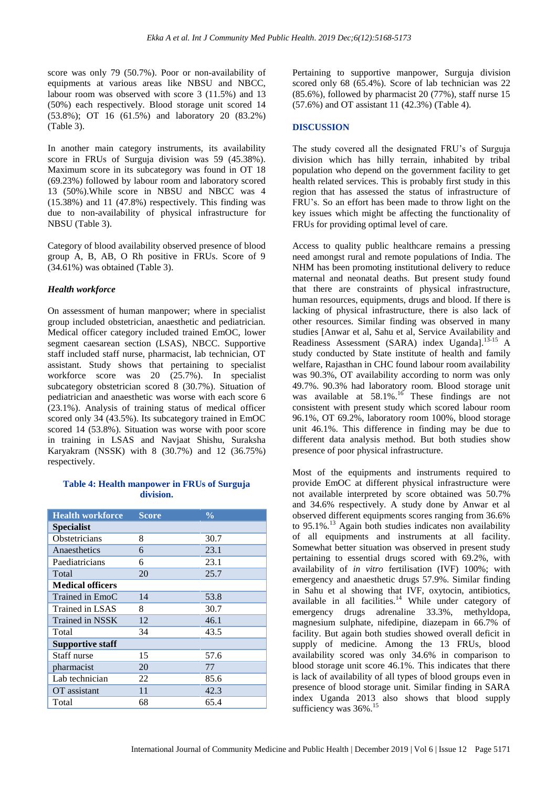score was only 79 (50.7%). Poor or non-availability of equipments at various areas like NBSU and NBCC, labour room was observed with score 3 (11.5%) and 13 (50%) each respectively. Blood storage unit scored 14 (53.8%); OT 16 (61.5%) and laboratory 20 (83.2%) (Table 3).

In another main category instruments, its availability score in FRUs of Surguja division was 59 (45.38%). Maximum score in its subcategory was found in OT 18 (69.23%) followed by labour room and laboratory scored 13 (50%).While score in NBSU and NBCC was 4 (15.38%) and 11 (47.8%) respectively. This finding was due to non-availability of physical infrastructure for NBSU (Table 3).

Category of blood availability observed presence of blood group A, B, AB, O Rh positive in FRUs. Score of 9 (34.61%) was obtained (Table 3).

## *Health workforce*

On assessment of human manpower; where in specialist group included obstetrician, anaesthetic and pediatrician. Medical officer category included trained EmOC, lower segment caesarean section (LSAS), NBCC. Supportive staff included staff nurse, pharmacist, lab technician, OT assistant. Study shows that pertaining to specialist workforce score was 20 (25.7%). In specialist subcategory obstetrician scored 8 (30.7%). Situation of pediatrician and anaesthetic was worse with each score 6 (23.1%). Analysis of training status of medical officer scored only 34 (43.5%). Its subcategory trained in EmOC scored 14 (53.8%). Situation was worse with poor score in training in LSAS and Navjaat Shishu, Suraksha Karyakram (NSSK) with 8 (30.7%) and 12 (36.75%) respectively.

#### **Table 4: Health manpower in FRUs of Surguja division.**

| <b>Health workforce</b> | <b>Score</b> | $\frac{0}{0}$ |  |  |
|-------------------------|--------------|---------------|--|--|
| <b>Specialist</b>       |              |               |  |  |
| Obstetricians           | 8            | 30.7          |  |  |
| Anaesthetics            | 6            | 23.1          |  |  |
| Paediatricians          | 6            | 23.1          |  |  |
| Total                   | 20           | 25.7          |  |  |
| <b>Medical officers</b> |              |               |  |  |
| Trained in EmoC         | 14           | 53.8          |  |  |
| Trained in LSAS         | 8            | 30.7          |  |  |
| Trained in NSSK         | 12           | 46.1          |  |  |
| Total                   | 34           | 43.5          |  |  |
| <b>Supportive staff</b> |              |               |  |  |
| Staff nurse             | 15           | 57.6          |  |  |
| pharmacist              | 20           | 77            |  |  |
| Lab technician          | 22           | 85.6          |  |  |
| OT assistant            | 11           | 42.3          |  |  |
| Total                   | 68           | 65.4          |  |  |

Pertaining to supportive manpower, Surguja division scored only 68 (65.4%). Score of lab technician was 22 (85.6%), followed by pharmacist 20 (77%), staff nurse 15 (57.6%) and OT assistant 11 (42.3%) (Table 4).

# **DISCUSSION**

The study covered all the designated FRU's of Surguja division which has hilly terrain, inhabited by tribal population who depend on the government facility to get health related services. This is probably first study in this region that has assessed the status of infrastructure of FRU's. So an effort has been made to throw light on the key issues which might be affecting the functionality of FRUs for providing optimal level of care.

Access to quality public healthcare remains a pressing need amongst rural and remote populations of India. The NHM has been promoting institutional delivery to reduce maternal and neonatal deaths. But present study found that there are constraints of physical infrastructure, human resources, equipments, drugs and blood. If there is lacking of physical infrastructure, there is also lack of other resources. Similar finding was observed in many studies [Anwar et al, Sahu et al, Service Availability and Readiness Assessment (SARA) index Uganda].<sup>13-15</sup> A study conducted by State institute of health and family welfare, Rajasthan in CHC found labour room availability was 90.3%, OT availability according to norm was only 49.7%. 90.3% had laboratory room. Blood storage unit was available at  $58.1\%$ .<sup>16</sup> These findings are not consistent with present study which scored labour room 96.1%, OT 69.2%, laboratory room 100%, blood storage unit 46.1%. This difference in finding may be due to different data analysis method. But both studies show presence of poor physical infrastructure.

Most of the equipments and instruments required to provide EmOC at different physical infrastructure were not available interpreted by score obtained was 50.7% and 34.6% respectively. A study done by Anwar et al observed different equipments scores ranging from 36.6% to 95.1%.<sup>13</sup> Again both studies indicates non availability of all equipments and instruments at all facility. Somewhat better situation was observed in present study pertaining to essential drugs scored with 69.2%, with availability of *in vitro* fertilisation (IVF) 100%; with emergency and anaesthetic drugs 57.9%. Similar finding in Sahu et al showing that IVF, oxytocin, antibiotics, available in all facilities. $14$  While under category of emergency drugs adrenaline 33.3%, methyldopa, magnesium sulphate, nifedipine, diazepam in 66.7% of facility. But again both studies showed overall deficit in supply of medicine. Among the 13 FRUs, blood availability scored was only 34.6% in comparison to blood storage unit score 46.1%. This indicates that there is lack of availability of all types of blood groups even in presence of blood storage unit. Similar finding in SARA index Uganda 2013 also shows that blood supply sufficiency was 36%.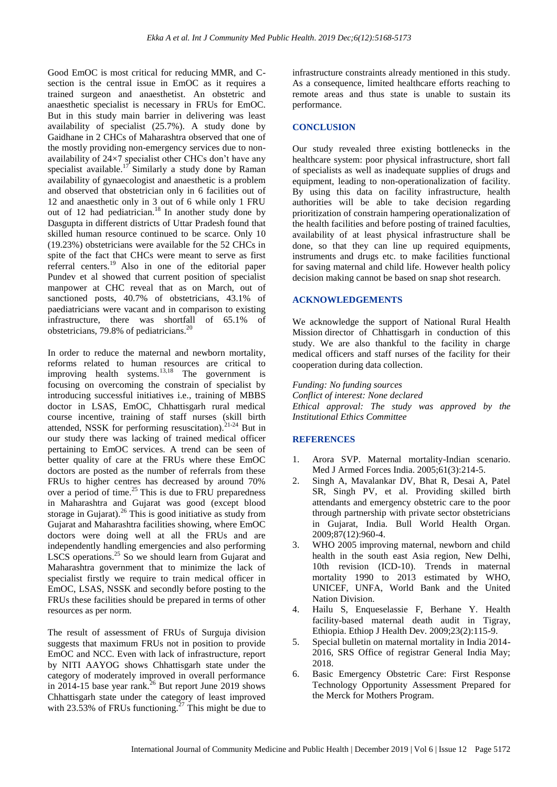Good EmOC is most critical for reducing MMR, and Csection is the central issue in EmOC as it requires a trained surgeon and anaesthetist. An obstetric and anaesthetic specialist is necessary in FRUs for EmOC. But in this study main barrier in delivering was least availability of specialist (25.7%). A study done by Gaidhane in 2 CHCs of Maharashtra observed that one of the mostly providing non-emergency services due to nonavailability of 24×7 specialist other CHCs don't have any specialist available.<sup>17</sup> Similarly a study done by Raman availability of gynaecologist and anaesthetic is a problem and observed that obstetrician only in 6 facilities out of 12 and anaesthetic only in 3 out of 6 while only 1 FRU out of 12 had pediatrician.<sup>18</sup> In another study done by Dasgupta in different districts of Uttar Pradesh found that skilled human resource continued to be scarce. Only 10 (19.23%) obstetricians were available for the 52 CHCs in spite of the fact that CHCs were meant to serve as first referral centers.<sup>19</sup> Also in one of the editorial paper Pundev et al showed that current position of specialist manpower at CHC reveal that as on March, out of sanctioned posts, 40.7% of obstetricians, 43.1% of paediatricians were vacant and in comparison to existing infrastructure, there was shortfall of 65.1% of obstetricians, 79.8% of pediatricians.<sup>20</sup>

In order to reduce the maternal and newborn mortality, reforms related to human resources are critical to improving health systems. $13,18$  The government is focusing on overcoming the constrain of specialist by introducing successful initiatives i.e., training of MBBS doctor in LSAS, EmOC, Chhattisgarh rural medical course incentive, training of staff nurses (skill birth attended, NSSK for performing resuscitation).21-24 But in our study there was lacking of trained medical officer pertaining to EmOC services. A trend can be seen of better quality of care at the FRUs where these EmOC doctors are posted as the number of referrals from these FRUs to higher centres has decreased by around 70% over a period of time.<sup>25</sup> This is due to FRU preparedness in Maharashtra and Gujarat was good (except blood storage in Gujarat).<sup>26</sup> This is good initiative as study from Gujarat and Maharashtra facilities showing, where EmOC doctors were doing well at all the FRUs and are independently handling emergencies and also performing LSCS operations.<sup>25</sup> So we should learn from Gujarat and Maharashtra government that to minimize the lack of specialist firstly we require to train medical officer in EmOC, LSAS, NSSK and secondly before posting to the FRUs these facilities should be prepared in terms of other resources as per norm.

The result of assessment of FRUs of Surguja division suggests that maximum FRUs not in position to provide EmOC and NCC. Even with lack of infrastructure, report by NITI AAYOG shows Chhattisgarh state under the category of moderately improved in overall performance in 2014-15 base year rank.<sup>26</sup> But report June 2019 shows Chhattisgarh state under the category of least improved with 23.53% of FRUs functioning.<sup>27</sup> This might be due to

infrastructure constraints already mentioned in this study. As a consequence, limited healthcare efforts reaching to remote areas and thus state is unable to sustain its performance.

# **CONCLUSION**

Our study revealed three existing bottlenecks in the healthcare system: poor physical infrastructure, short fall of specialists as well as inadequate supplies of drugs and equipment, leading to non-operationalization of facility. By using this data on facility infrastructure, health authorities will be able to take decision regarding prioritization of constrain hampering operationalization of the health facilities and before posting of trained faculties, availability of at least physical infrastructure shall be done, so that they can line up required equipments, instruments and drugs etc. to make facilities functional for saving maternal and child life. However health policy decision making cannot be based on snap shot research.

#### **ACKNOWLEDGEMENTS**

We acknowledge the support of National Rural Health Mission director of Chhattisgarh in conduction of this study. We are also thankful to the facility in charge medical officers and staff nurses of the facility for their cooperation during data collection.

#### *Funding: No funding sources*

*Conflict of interest: None declared Ethical approval: The study was approved by the Institutional Ethics Committee*

# **REFERENCES**

- 1. Arora SVP. Maternal mortality-Indian scenario. Med J Armed Forces India. 2005;61(3):214-5.
- 2. Singh A, Mavalankar DV, Bhat R, Desai A, Patel SR, Singh PV, et al. Providing skilled birth attendants and emergency obstetric care to the poor through partnership with private sector obstetricians in Gujarat, India. Bull World Health Organ. 2009;87(12):960-4.
- 3. WHO 2005 improving maternal, newborn and child health in the south east Asia region, New Delhi, 10th revision (ICD-10). Trends in maternal mortality 1990 to 2013 estimated by WHO, UNICEF, UNFA, World Bank and the United Nation Division.
- 4. Hailu S, Enqueselassie F, Berhane Y. Health facility-based maternal death audit in Tigray, Ethiopia. Ethiop J Health Dev. 2009;23(2):115-9.
- 5. Special bulletin on maternal mortality in India 2014- 2016, SRS Office of registrar General India May; 2018.
- 6. Basic Emergency Obstetric Care: First Response Technology Opportunity Assessment Prepared for the Merck for Mothers Program.